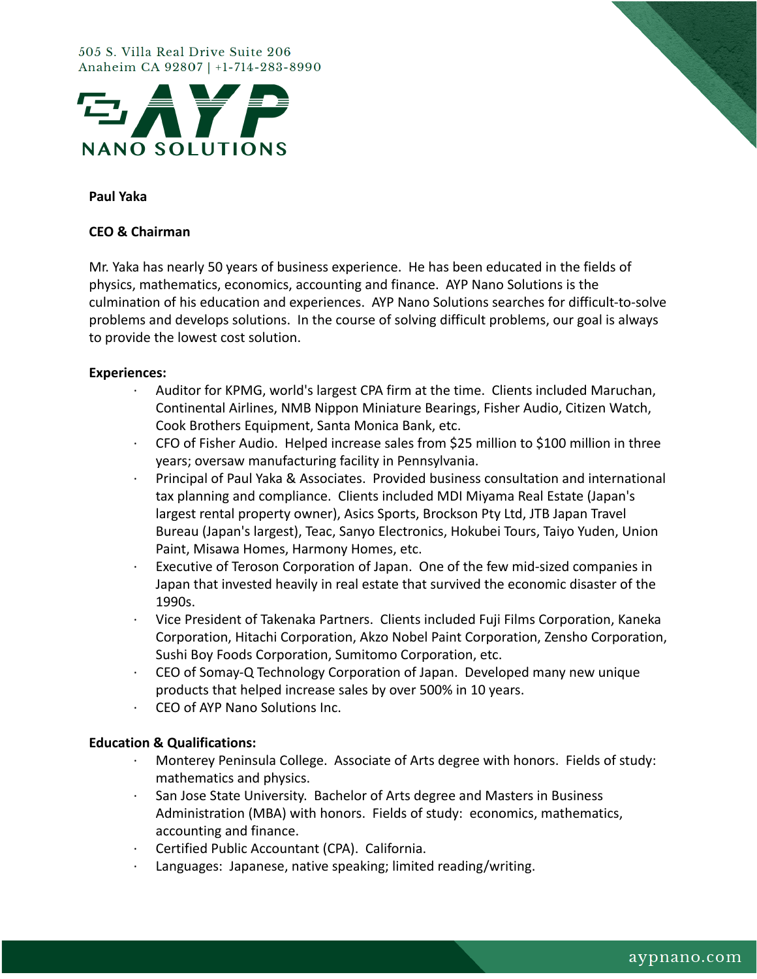#### 505 S. Villa Real Drive Suite 206 Anaheim CA 92807 | +1-714-283-8990





# **Paul Yaka**

## **CEO & Chairman**

Mr. Yaka has nearly 50 years of business experience. He has been educated in the fields of physics, mathematics, economics, accounting and finance. AYP Nano Solutions is the culmination of his education and experiences. AYP Nano Solutions searches for difficult-to-solve problems and develops solutions. In the course of solving difficult problems, our goal is always to provide the lowest cost solution.

### **Experiences:**

- · Auditor for KPMG, world's largest CPA firm at the time. Clients included Maruchan, Continental Airlines, NMB Nippon Miniature Bearings, Fisher Audio, Citizen Watch, Cook Brothers Equipment, Santa Monica Bank, etc.
- · CFO of Fisher Audio. Helped increase sales from \$25 million to \$100 million in three years; oversaw manufacturing facility in Pennsylvania.
- · Principal of Paul Yaka & Associates. Provided business consultation and international tax planning and compliance. Clients included MDI Miyama Real Estate (Japan's largest rental property owner), Asics Sports, Brockson Pty Ltd, JTB Japan Travel Bureau (Japan's largest), Teac, Sanyo Electronics, Hokubei Tours, Taiyo Yuden, Union Paint, Misawa Homes, Harmony Homes, etc.
- Executive of Teroson Corporation of Japan. One of the few mid-sized companies in Japan that invested heavily in real estate that survived the economic disaster of the 1990s.
- · Vice President of Takenaka Partners. Clients included Fuji Films Corporation, Kaneka Corporation, Hitachi Corporation, Akzo Nobel Paint Corporation, Zensho Corporation, Sushi Boy Foods Corporation, Sumitomo Corporation, etc.
- · CEO of Somay-Q Technology Corporation of Japan. Developed many new unique products that helped increase sales by over 500% in 10 years.
- · CEO of AYP Nano Solutions Inc.

### **Education & Qualifications:**

- · Monterey Peninsula College. Associate of Arts degree with honors. Fields of study: mathematics and physics.
- San Jose State University. Bachelor of Arts degree and Masters in Business Administration (MBA) with honors. Fields of study: economics, mathematics, accounting and finance.
- Certified Public Accountant (CPA). California.
- Languages: Japanese, native speaking; limited reading/writing.